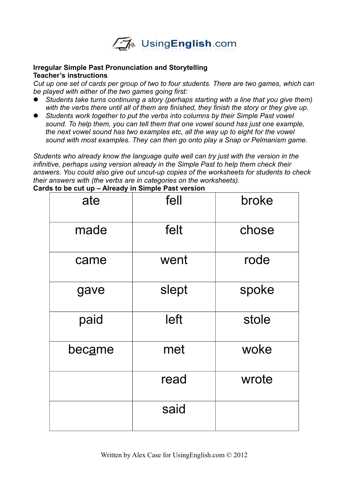

## **Irregular Simple Past Pronunciation and Storytelling Teacher's instructions**

*Cut up one set of cards per group of two to four students. There are two games, which can be played with either of the two games going first:*

- *Students take turns continuing a story (perhaps starting with a line that you give them) with the verbs there until all of them are finished, they finish the story or they give up.*
- *Students work together to put the verbs into columns by their Simple Past vowel sound. To help them, you can tell them that one vowel sound has just one example, the next vowel sound has two examples etc, all the way up to eight for the vowel sound with most examples. They can then go onto play a Snap or Pelmanism game.*

*Students who already know the language quite well can try just with the version in the infinitive, perhaps using version already in the Simple Past to help them check their answers. You could also give out uncut-up copies of the worksheets for students to check their answers with (the verbs are in categories on the worksheets).*

| ate    | fell  | broke |
|--------|-------|-------|
| made   | felt  | chose |
| came   | went  | rode  |
| gave   | slept | spoke |
| paid   | left  | stole |
| became | met   | woke  |
|        | read  | wrote |
|        | said  |       |

**Cards to be cut up – Already in Simple Past version**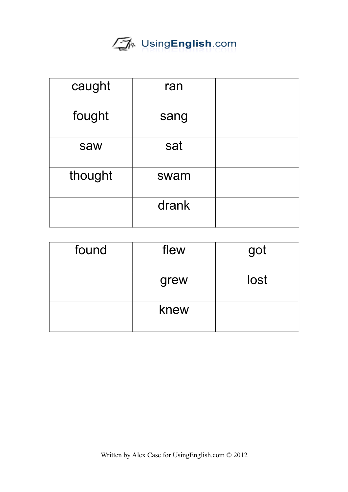

| caught  | ran   |  |
|---------|-------|--|
| fought  | sang  |  |
| saw     | sat   |  |
| thought | swam  |  |
|         | drank |  |

| found | flew | got  |
|-------|------|------|
|       | grew | lost |
|       | knew |      |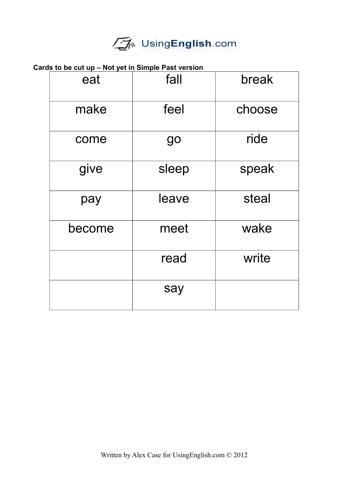

## **Cards to be cut up – Not yet in Simple Past version**

| eat    | fall  | break  |
|--------|-------|--------|
| make   | feel  | choose |
| come   | go    | ride   |
| give   | sleep | speak  |
| pay    | leave | steal  |
| become | meet  | wake   |
|        | read  | write  |
|        | say   |        |